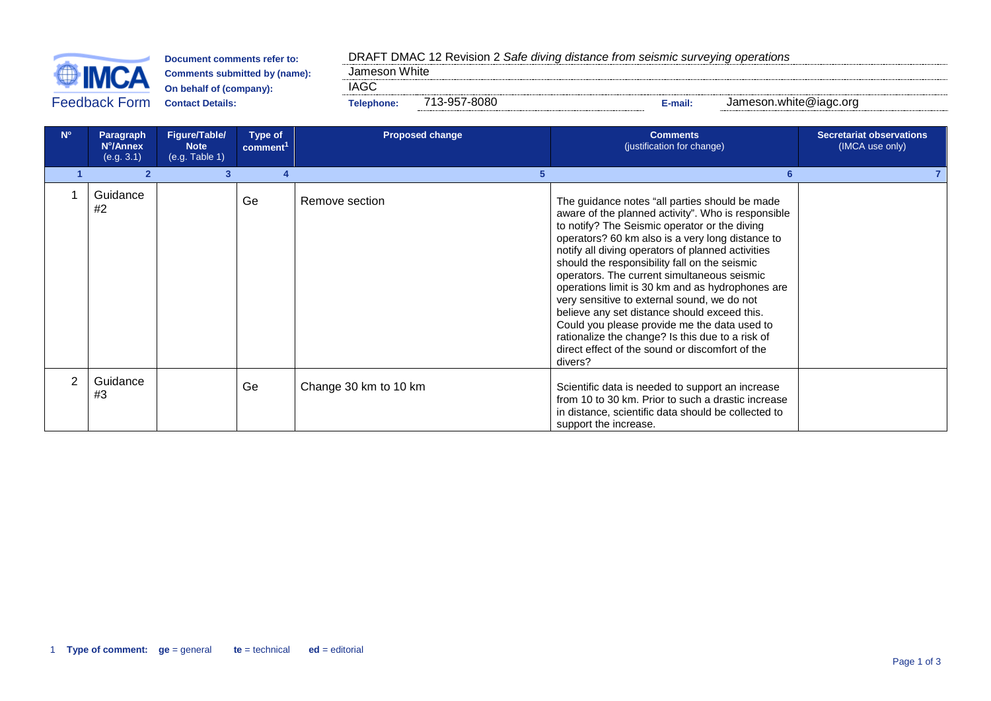



**On behalf of (company):** 

**Comments submitted by (name):** James<br>On behalf of (company): JAGC

**Contact Details: Telephone:** 713-957-8080 **E-mail:** Jameson.white@iagc.org

| $N^{\circ}$ | Paragraph<br>Nº/Annex<br>(e.g. 3.1) | Figure/Table/<br><b>Note</b><br>(e.g. Table 1) | Type of<br>comment <sup>1</sup> | <b>Proposed change</b> | <b>Comments</b><br>(justification for change)                                                                                                                                                                                                                                                                                                                                                                                                                                                                                                                                                                                                                                       | <b>Secretariat observations</b><br>(IMCA use only) |
|-------------|-------------------------------------|------------------------------------------------|---------------------------------|------------------------|-------------------------------------------------------------------------------------------------------------------------------------------------------------------------------------------------------------------------------------------------------------------------------------------------------------------------------------------------------------------------------------------------------------------------------------------------------------------------------------------------------------------------------------------------------------------------------------------------------------------------------------------------------------------------------------|----------------------------------------------------|
|             |                                     |                                                |                                 |                        |                                                                                                                                                                                                                                                                                                                                                                                                                                                                                                                                                                                                                                                                                     |                                                    |
|             | Guidance<br>#2                      |                                                | Ge                              | Remove section         | The guidance notes "all parties should be made<br>aware of the planned activity". Who is responsible<br>to notify? The Seismic operator or the diving<br>operators? 60 km also is a very long distance to<br>notify all diving operators of planned activities<br>should the responsibility fall on the seismic<br>operators. The current simultaneous seismic<br>operations limit is 30 km and as hydrophones are<br>very sensitive to external sound, we do not<br>believe any set distance should exceed this.<br>Could you please provide me the data used to<br>rationalize the change? Is this due to a risk of<br>direct effect of the sound or discomfort of the<br>divers? |                                                    |
| 2           | Guidance<br>#3                      |                                                | Ge                              | Change 30 km to 10 km  | Scientific data is needed to support an increase<br>from 10 to 30 km. Prior to such a drastic increase<br>in distance, scientific data should be collected to<br>support the increase.                                                                                                                                                                                                                                                                                                                                                                                                                                                                                              |                                                    |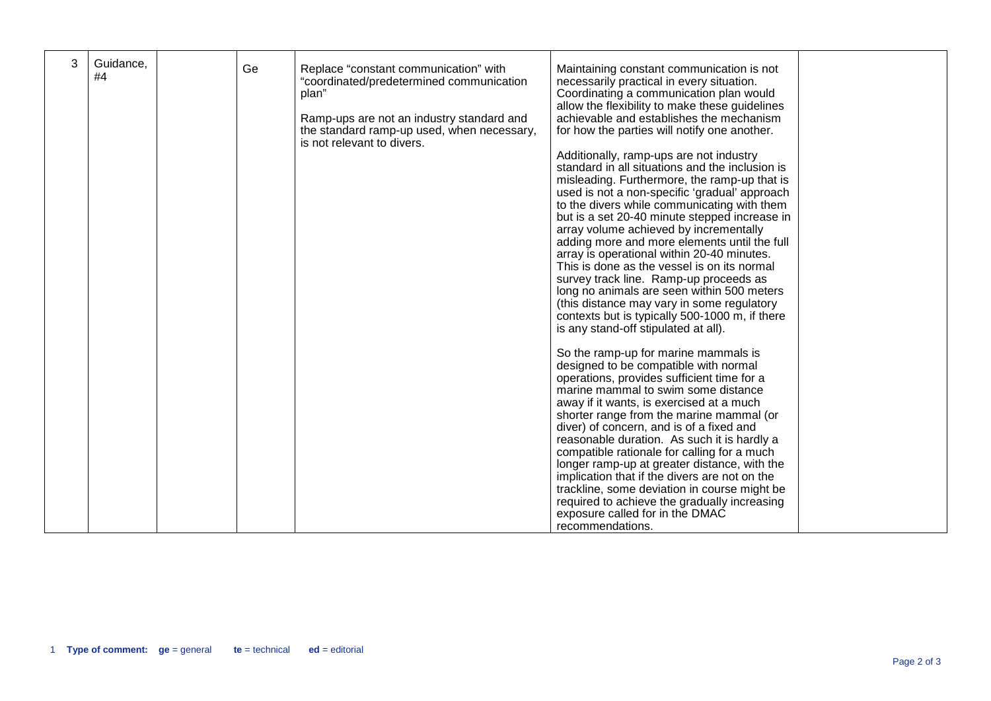| 3 | Guidance,<br>#4 | Ge | Replace "constant communication" with<br>"coordinated/predetermined communication<br>plan"<br>Ramp-ups are not an industry standard and<br>the standard ramp-up used, when necessary,<br>is not relevant to divers. | Maintaining constant communication is not<br>necessarily practical in every situation.<br>Coordinating a communication plan would<br>allow the flexibility to make these guidelines<br>achievable and establishes the mechanism<br>for how the parties will notify one another.<br>Additionally, ramp-ups are not industry<br>standard in all situations and the inclusion is<br>misleading. Furthermore, the ramp-up that is<br>used is not a non-specific 'gradual' approach<br>to the divers while communicating with them<br>but is a set 20-40 minute stepped increase in<br>array volume achieved by incrementally<br>adding more and more elements until the full<br>array is operational within 20-40 minutes.<br>This is done as the vessel is on its normal<br>survey track line. Ramp-up proceeds as<br>long no animals are seen within 500 meters<br>(this distance may vary in some regulatory<br>contexts but is typically 500-1000 m, if there<br>is any stand-off stipulated at all).<br>So the ramp-up for marine mammals is<br>designed to be compatible with normal<br>operations, provides sufficient time for a<br>marine mammal to swim some distance<br>away if it wants, is exercised at a much<br>shorter range from the marine mammal (or<br>diver) of concern, and is of a fixed and<br>reasonable duration. As such it is hardly a<br>compatible rationale for calling for a much<br>longer ramp-up at greater distance, with the<br>implication that if the divers are not on the<br>trackline, some deviation in course might be |  |
|---|-----------------|----|---------------------------------------------------------------------------------------------------------------------------------------------------------------------------------------------------------------------|----------------------------------------------------------------------------------------------------------------------------------------------------------------------------------------------------------------------------------------------------------------------------------------------------------------------------------------------------------------------------------------------------------------------------------------------------------------------------------------------------------------------------------------------------------------------------------------------------------------------------------------------------------------------------------------------------------------------------------------------------------------------------------------------------------------------------------------------------------------------------------------------------------------------------------------------------------------------------------------------------------------------------------------------------------------------------------------------------------------------------------------------------------------------------------------------------------------------------------------------------------------------------------------------------------------------------------------------------------------------------------------------------------------------------------------------------------------------------------------------------------------------------------------------------------------|--|
|   |                 |    |                                                                                                                                                                                                                     | required to achieve the gradually increasing<br>exposure called for in the DMAC<br>recommendations.                                                                                                                                                                                                                                                                                                                                                                                                                                                                                                                                                                                                                                                                                                                                                                                                                                                                                                                                                                                                                                                                                                                                                                                                                                                                                                                                                                                                                                                            |  |